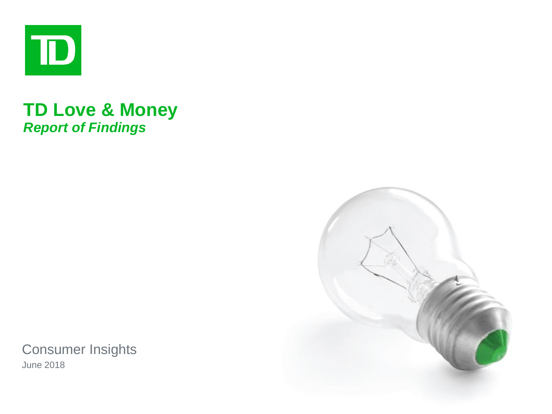

### **TD Love & Money** *Report of Findings*

Consumer Insights June 2018

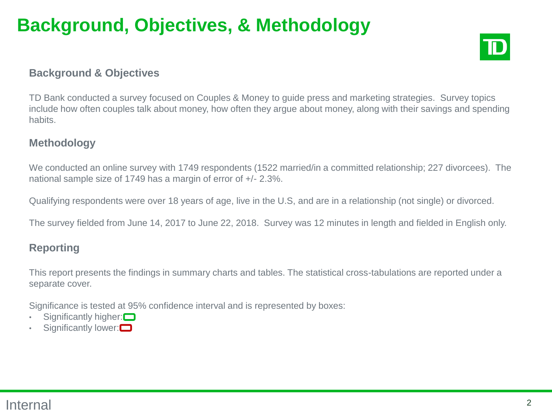### **Background, Objectives, & Methodology**



#### **Background & Objectives**

TD Bank conducted a survey focused on Couples & Money to guide press and marketing strategies. Survey topics include how often couples talk about money, how often they argue about money, along with their savings and spending habits.

#### **Methodology**

We conducted an online survey with 1749 respondents (1522 married/in a committed relationship; 227 divorcees). The national sample size of 1749 has a margin of error of +/- 2.3%.

Qualifying respondents were over 18 years of age, live in the U.S, and are in a relationship (not single) or divorced.

The survey fielded from June 14, 2017 to June 22, 2018. Survey was 12 minutes in length and fielded in English only.

### **Reporting**

This report presents the findings in summary charts and tables. The statistical cross-tabulations are reported under a separate cover.

Significance is tested at 95% confidence interval and is represented by boxes:

- Significantly higher: $\Box$
- Significantly lower: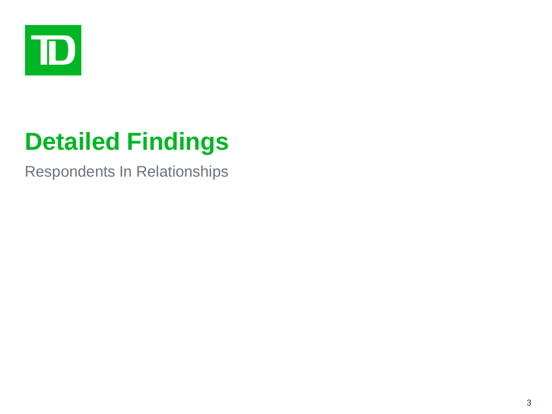

# **Detailed Findings**

Respondents In Relationships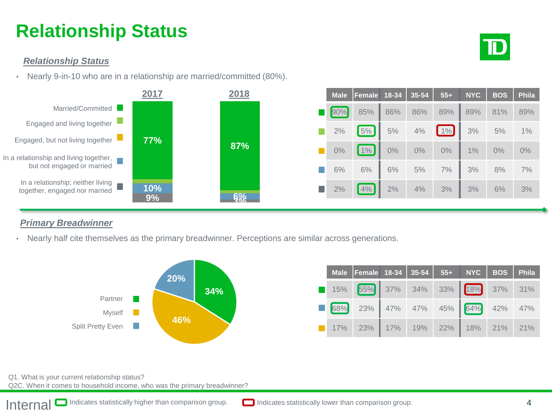### **Relationship Status**

#### *Relationship Status*

• Nearly 9-in-10 who are in a relationship are married/committed (80%).



#### *Primary Breadwinner*

• Nearly half cite themselves as the primary breadwinner. Perceptions are similar across generations.



|  | Male Female 18-34 35-54 55+ NYC BOS Phila |  |  |  |
|--|-------------------------------------------|--|--|--|
|  | 15% 55% 37% 34% 33% 18% 37% 31%           |  |  |  |
|  | 68% 23% 47% 47% 45% 64% 42% 47%           |  |  |  |
|  | 17% 23% 17% 19% 22% 18% 21% 21%           |  |  |  |

Q1. What is your current relationship status?

Q2C. When it comes to household income, who was the primary breadwinner?

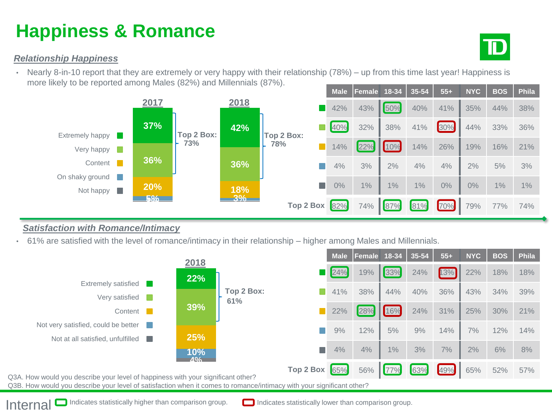### **Happiness & Romance**

#### *Relationship Happiness*

• Nearly 8-in-10 report that they are extremely or very happy with their relationship (78%) – up from this time last year! Happiness is more likely to be reported among Males (82%) and Millennials (87%).



#### *Satisfaction with Romance/Intimacy*

• 61% are satisfied with the level of romance/intimacy in their relationship – higher among Males and Millennials.





Internal Indicates statistically higher than comparison group. **Indicates statistically lower than comparison group.**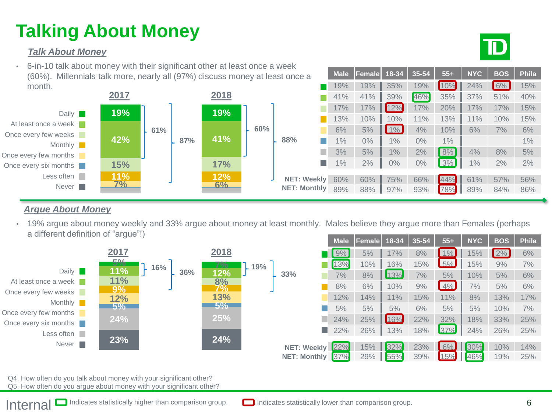### **Talking About Money**

#### *Talk About Money*



• 6-in-10 talk about money with their significant other at least once a week (60%). Millennials talk more, nearly all (97%) discuss money at least o month.



| ╯<br>nce a         | <b>Male</b> | <b>Female</b> | $18 - 34$ | 35-54 | $55+$ | <b>NYC</b> | <b>BOS</b> | <b>Phila</b> |
|--------------------|-------------|---------------|-----------|-------|-------|------------|------------|--------------|
|                    | 19%         | 19%           | 35%       | 19%   | 10%   | 24%        | 6%         | 15%          |
|                    | 41%         | 41%           | 39%       | 46%   | 35%   | 37%        | 51%        | 40%          |
|                    | 17%         | 17%           | 12%       | 17%   | 20%   | 17%        | 17%        | 15%          |
|                    | 13%         | 10%           | 10%       | 11%   | 13%   | 11%        | 10%        | 15%          |
|                    | 6%          | 5%            | $1\%$     | 4%    | 10%   | 6%         | 7%         | 6%           |
| $\frac{9}{6}$      | 1%          | $0\%$         | 1%        | $0\%$ | 1%    |            |            | 1%           |
|                    | 3%          | 5%            | 1%        | 2%    | 8%    | 4%         | 8%         | 5%           |
|                    | 1%          | 2%            | $0\%$     | $0\%$ | 3%    | 1%         | 2%         | 2%           |
| <b>ET: Weekly</b>  |             |               |           |       |       |            |            |              |
|                    | 60%         | 60%           | 75%       | 66%   | 44%   | 61%        | 57%        | 56%          |
| <b>ET: Monthly</b> | 89%         | 88%           | 97%       | 93%   | 78%   | 89%        | 84%        | 86%          |

#### *Argue About Money*

• 19% argue about money weekly and 33% argue about money at least monthly. Males believe they argue more than Females (perhaps a different definition of "argue"!)



Q4. How often do you talk about money with your significant other? Q5. How often do you argue about money with your significant other?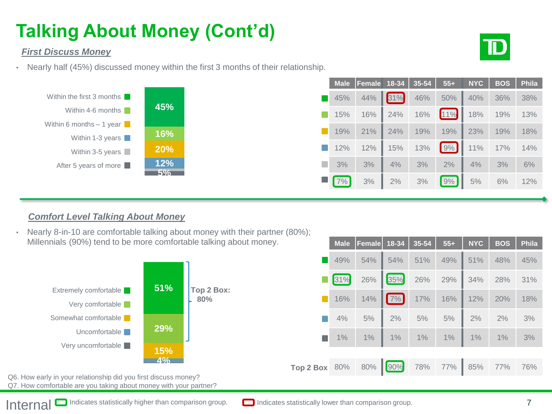# **Talking About Money (Cont'd)**



#### *First Discuss Money*

• Nearly half (45%) discussed money within the first 3 months of their relationship.



#### *Comfort Level Talking About Money*

• Nearly 8-in-10 are comfortable talking about money with their partner (80%); Millennials (90%) tend to be more comfortable talking about money.



| <b>Male</b> |                                                                                 |  |                             |                      | <b>BOS</b> | <b>Phila</b> |
|-------------|---------------------------------------------------------------------------------|--|-----------------------------|----------------------|------------|--------------|
|             | 49% 54% 54% 51% 49% 51% 48%                                                     |  |                             |                      |            | 45%          |
| 31%         |                                                                                 |  | 26% 35% 26% 29% 34% 28% 31% |                      |            |              |
|             | $\begin{array}{ c c c c c } \hline \textbf{1} & 16\% & 14\% \hline \end{array}$ |  | 7% 17% 16% 12% 20%          |                      |            | 18%          |
|             | 4% 5% 2% 5% 5%                                                                  |  |                             | $\frac{2\%}{2\%}$ 2% |            | 3%           |
|             | 1% 1% 1% 1% 1% 1% 1% 1%                                                         |  |                             |                      |            | 3%           |
|             |                                                                                 |  |                             |                      |            |              |
|             | <b>2 Box</b> 80% 80% 90% 78% 77% 85% 77% 76%                                    |  |                             |                      |            |              |
|             |                                                                                 |  |                             |                      |            |              |

Q6. How early in your relationship did you first discuss money? Q7. How comfortable are you taking about money with your partner? **Top**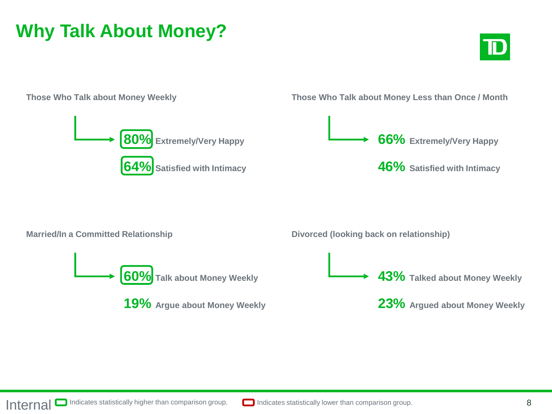# **Why Talk About Money?**



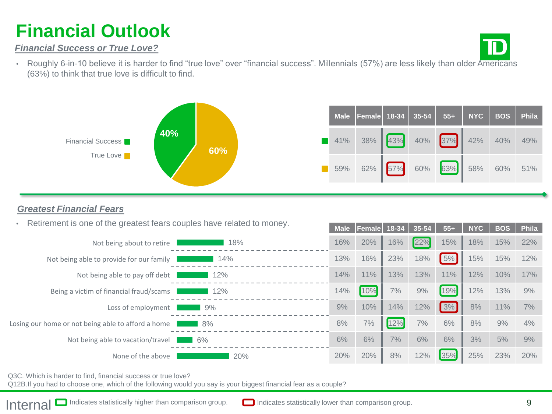### **Financial Outlook**



**Male Female 18-34 35-54 55+ NYC BOS Phila**

#### *Financial Success or True Love?*

• Roughly 6-in-10 believe it is harder to find "true love" over "financial success". Millennials (57%) are less likely than older Americans (63%) to think that true love is difficult to find.



#### *Greatest Financial Fears*

• Retirement is one of the greatest fears couples have related to money.

| Not being about to retire                          | 18%  | 16% | 20% | 16% | 22% | 15%          | 18% | 15% | 22% |
|----------------------------------------------------|------|-----|-----|-----|-----|--------------|-----|-----|-----|
| Not being able to provide for our family           | 14%  | 13% | 16% | 23% | 18% | $\sqrt{5\%}$ | 15% | 15% | 12% |
| Not being able to pay off debt                     | 12%  | 14% | 11% | 13% | 13% | 11%          | 12% | 10% | 17% |
| Being a victim of financial fraud/scams            | 12%  | 14% | 10% | 7%  | 9%  | 19%          | 12% | 13% | 9%  |
| Loss of employment                                 | 9%   | 9%  | 10% | 14% | 12% | 3%           | 8%  | 11% | 7%  |
| Losing our home or not being able to afford a home | 8%   | 8%  | 7%  | 12% | 7%  | 6%           | 8%  | 9%  | 4%  |
| Not being able to vacation/travel                  | l 6% | 6%  | 6%  | 7%  | 6%  | 6%           | 3%  | 5%  | 9%  |
| None of the above                                  | 20%  | 20% | 20% | 8%  | 12% | 35%          | 25% | 23% | 20% |

Q3C. Which is harder to find, financial success or true love?

Q12B.If you had to choose one, which of the following would you say is your biggest financial fear as a couple?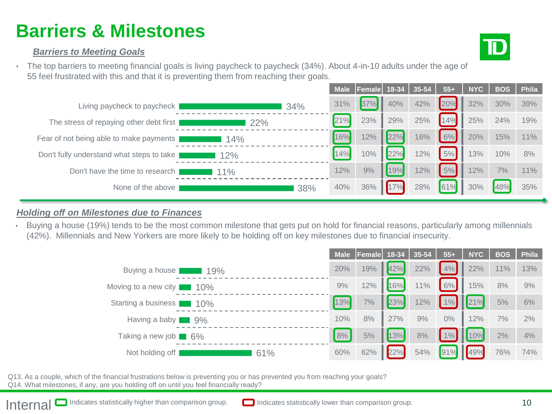### **Barriers & Milestones**

#### *Barriers to Meeting Goals*



• The top barriers to meeting financial goals is living paycheck to paycheck (34%). About 4-in-10 adults under the age of 55 feel frustrated with this and that it is preventing them from reaching their goals.



#### *Holding off on Milestones due to Finances*

• Buying a house (19%) tends to be the most common milestone that gets put on hold for financial reasons, particularly among millennials (42%). Millennials and New Yorkers are more likely to be holding off on key milestones due to financial insecurity.



Q13. As a couple, which of the financial frustrations below is preventing you or has prevented you from reaching your goals? Q14. What milestones, if any, are you holding off on until you feel financially ready?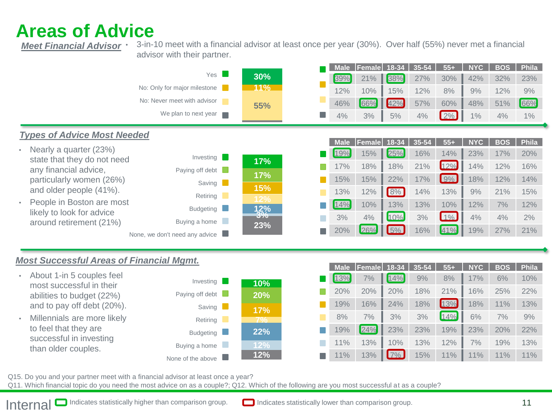### **Areas of Advice**

*Meet Financial Advisor*

• 3-in-10 meet with a financial advisor at least once per year (30%). Over half (55%) never met a financial advisor with their partner.

|                                                                                                                                            | $Yes \Box$<br>No: Only for major milestone<br>No: Never meet with advisor<br>We plan to next year $\blacksquare$ | 30%<br>11%<br>55%                     | <b>Male</b><br>39%<br>12%<br>46%        | Female 18-34<br>21%<br>10%<br>66% | 38%<br>15%<br>42%                             | 35-54<br>27%<br>12%<br>57% | $55+$<br>30%<br>8%<br>60%        | <b>NYC</b><br>42%<br>9%<br>48%        | <b>BOS</b><br>32%<br>12%<br>51%        | Phila<br>23%<br>9%<br>66%         |
|--------------------------------------------------------------------------------------------------------------------------------------------|------------------------------------------------------------------------------------------------------------------|---------------------------------------|-----------------------------------------|-----------------------------------|-----------------------------------------------|----------------------------|----------------------------------|---------------------------------------|----------------------------------------|-----------------------------------|
| <b>Types of Advice Most Needed</b>                                                                                                         |                                                                                                                  |                                       | 4%                                      | 3%                                | 5%                                            | 4%                         | 2%                               | $1\%$                                 | 4%                                     | 1%                                |
| Nearly a quarter (23%)<br>٠<br>state that they do not need<br>any financial advice,<br>particularly women (26%)<br>and older people (41%). | Investing<br>Paying off debt $\Box$<br>Saving <b>N</b>                                                           | 17%<br>17%<br>15%                     | <b>Male</b><br>19%<br>17%<br>15%<br>13% | 15%<br>18%<br>15%<br>12%          | Female 18-34 35-54<br>25%<br>18%<br>22%<br>8% | 16%<br>21%<br>17%<br>14%   | $55+$<br>14%<br>12%<br>9%<br>13% | <b>NYC</b><br>23%<br>14%<br>18%<br>9% | <b>BOS</b><br>17%<br>12%<br>12%<br>21% | Phila<br>20%<br>16%<br>14%<br>15% |
| People in Boston are most<br>likely to look for advice<br>around retirement (21%)                                                          | Retiring  <br>Budgeting <b>I</b><br>Buying a home<br>None, we don't need any advice                              | 12%<br>12%<br>$\rightarrow$ 70<br>23% | 14%<br>3%<br>20%                        | 10%<br>4%<br>26%                  | 13%<br>10%<br>5%                              | 13%<br>3%<br>16%           | 10%<br>$1\%$<br>41%              | 12%<br>4%<br>19%                      | 7%<br>4%<br>27%                        | 12%<br>2%<br>21%                  |

#### *Most Successful Areas of Financial Mgmt.*

|                                                       |                          |        |     | Male remaler 16-34 1 33-34 1 |     |     | DO T |     | ыж  | ar Phila |
|-------------------------------------------------------|--------------------------|--------|-----|------------------------------|-----|-----|------|-----|-----|----------|
| About 1-in 5 couples feel<br>most successful in their | Investing                | $10\%$ | 13% | $7\%$                        | 14% | 9%  | 8%   | 17% | 6%  | 10%      |
| abilities to budget (22%)                             | Paying off debt $\Box$   | 20%    | 20% | 20%                          | 20% | 18% | 21%  | 16% | 25% | 22%      |
| and to pay off debt (20%).                            | Saving                   | 17%    | 19% | 16%                          | 24% | 18% | 13%  | 18% | 11% | 13%      |
| Millennials are more likely                           | Retiring                 | 7%     | 8%  | 7%                           | 3%  | 3%  | 14%  | 6%  | 7%  | 9%       |
| to feel that they are                                 | Budgeting                | 22%    | 19% | 24%                          | 23% | 23% | 19%  | 23% | 20% | 22%      |
| successful in investing<br>than older couples.        | Buying a home            | 12%    | 11% | 13%                          | 10% | 13% | 12%  | 7%  | 19% | 13%      |
|                                                       | None of the above $\Box$ | 12%    | 11% | 13%                          | 7%  | 15% | 11%  | 11% | 11% | 11%      |

Q15. Do you and your partner meet with a financial advisor at least once a year?

Q11. Which financial topic do you need the most advice on as a couple?; Q12. Which of the following are you most successful at as a couple?

**Male Female 18-34 35-54 55+ NYC BOS Phila**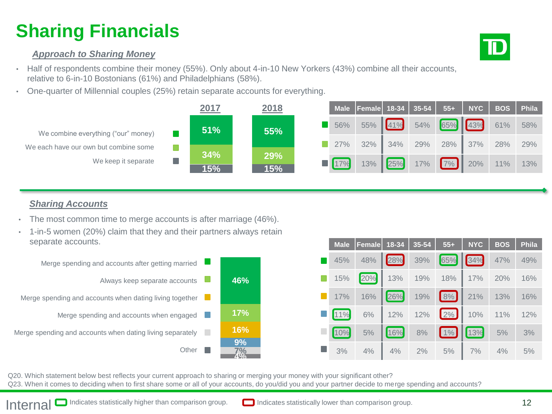### **Sharing Financials**

#### *Approach to Sharing Money*



- Half of respondents combine their money (55%). Only about 4-in-10 New Yorkers (43%) combine all their accounts, relative to 6-in-10 Bostonians (61%) and Philadelphians (58%).
- One-quarter of Millennial couples (25%) retain separate accounts for everything.



#### *Sharing Accounts*

- The most common time to merge accounts is after marriage (46%).
- 1-in-5 women (20%) claim that they and their partners always retain separate accounts.



| <b>Male</b> | $F$ emale 18-34 |            | $35-54$ | $55+$           | <b>NYC</b>           | <b>BOS</b> | <b>Phila</b> |
|-------------|-----------------|------------|---------|-----------------|----------------------|------------|--------------|
| 45%         | $48\%$          | 28%        | 39%     | 65%             | 34%                  | 47%        | 49%          |
| $\Box$ 15%  | 20%             |            |         | 13% 19% 18% 17% |                      | 20%        | 16%          |
| 17% 16%     |                 |            | 26% 19% | 8%              | $\frac{1}{21\%}$ 13% |            | 16%          |
| 11%         |                 | 6% 12% 12% |         | 2%              | 10% 11%              |            | 12%          |
| 10%         | 5%              | 16% 8%     |         | $\boxed{1\%}$   | 13%                  | 5%         | 3%           |
| 3%          | 4%              | 4%         | 2%      | 5%              | 7%                   | 4%         | 5%           |

Q20. Which statement below best reflects your current approach to sharing or merging your money with your significant other? Q23. When it comes to deciding when to first share some or all of your accounts, do you/did you and your partner decide to merge spending and accounts?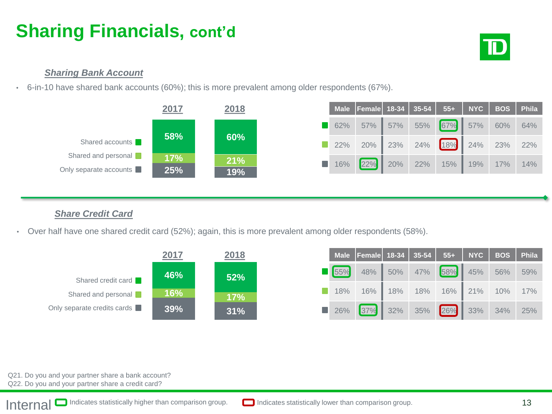### **Sharing Financials, cont'd**



#### *Sharing Bank Account*

• 6-in-10 have shared bank accounts (60%); this is more prevalent among older respondents (67%).



#### *Share Credit Card*

• Over half have one shared credit card (52%); again, this is more prevalent among older respondents (58%).

|                               | <u> 2017</u> | 2018 |                  | Male   Female   18-34   35-54 |     |     | $55 +$ | NYC |     | <b>BOS</b> Phila |
|-------------------------------|--------------|------|------------------|-------------------------------|-----|-----|--------|-----|-----|------------------|
| Shared credit card            | 46%          | 52%  | $\frac{1}{55\%}$ | 48%                           | 50% | 47% | 58%    | 45% | 56% | 59%              |
| Shared and personal           | $16\%$       | 17%  | 18%              | 16%                           | 18% | 18% | 16%    | 21% | 10% | 17%              |
| Only separate credits cards I | 39%          | 31%  | 26%              | 37%                           | 32% | 35% | $26\%$ | 33% | 34% | 25%              |

Q21. Do you and your partner share a bank account? Q22. Do you and your partner share a credit card?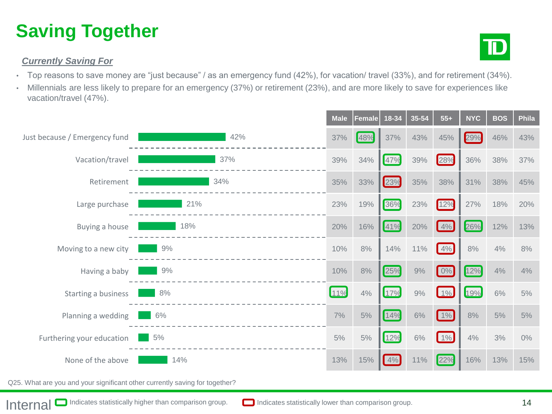# **Saving Together**

#### *Currently Saving For*



- Top reasons to save money are "just because" / as an emergency fund (42%), for vacation/ travel (33%), and for retirement (34%).
- Millennials are less likely to prepare for an emergency (37%) or retirement (23%), and are more likely to save for experiences like vacation/travel (47%).



Q25. What are you and your significant other currently saving for together?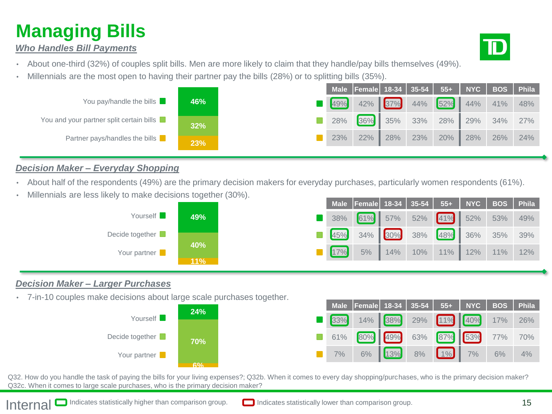### **Managing Bills** *Who Handles Bill Payments*



- About one-third (32%) of couples split bills. Men are more likely to claim that they handle/pay bills themselves (49%).
- Millennials are the most open to having their partner pay the bills (28%) or to splitting bills (35%).

|                                                         |     |     | Male  Female  18-34   35-54    55+    NYC |     |             |     |     |         | BOS   Phila |
|---------------------------------------------------------|-----|-----|-------------------------------------------|-----|-------------|-----|-----|---------|-------------|
| You pay/handle the bills $\blacksquare$                 | 46% | 49% |                                           |     | 42% 37% 44% | 52% | 44% | 41%     | 48%         |
| You and your partner split certain bills $\blacksquare$ | 32% | 28% | 36%                                       | 35% | 33%         | 28% | 29% | 34% 27% |             |
| Partner pays/handles the bills                          | 23% | 23% | 22%                                       | 28% | 23%         | 20% | 28% | 26%     | 24%         |

#### *Decision Maker – Everyday Shopping*

- About half of the respondents (49%) are the primary decision makers for everyday purchases, particularly women respondents (61%).
- Millennials are less likely to make decisions together (30%).

|                           |            |     | Male  Female  18-34   35-54   55+   NYC   BOS   Phila |     |     |                |         |     |     |
|---------------------------|------------|-----|-------------------------------------------------------|-----|-----|----------------|---------|-----|-----|
| Yourself <sup>1</sup>     | 49%        | 38% | 61%                                                   | 57% |     | $52\%$ 41% 52% |         | 53% | 49% |
| Decide together $\square$ |            | 45% | $34\%$                                                | 30% |     | 38% 48%        | 36% 35% |     | 39% |
| Your partner <b>T</b>     | 40%<br>11% | 17% | 5%                                                    | 14% | 10% | $11\%$         | 12%     | 11% | 12% |

#### *Decision Maker – Larger Purchases*

• 7-in-10 couples make decisions about large scale purchases together.



Q32. How do you handle the task of paying the bills for your living expenses?; Q32b. When it comes to every day shopping/purchases, who is the primary decision maker? Q32c. When it comes to large scale purchases, who is the primary decision maker?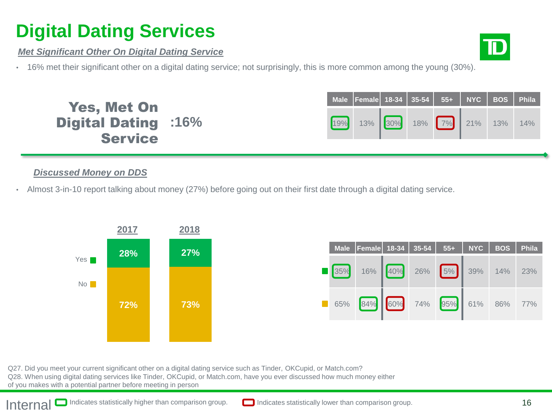### **Digital Dating Services**

Yes, Met On

Service

Digital Dating

*Met Significant Other On Digital Dating Service*

• 16% met their significant other on a digital dating service; not surprisingly, this is more common among the young (30%).

|         | Male Female 18-34 35-54 55+ NYC BOS Phila |  |  |     |
|---------|-------------------------------------------|--|--|-----|
| $:16\%$ | 19% 13% 30% 18% 7% 21% 13%                |  |  | 14% |

#### *Discussed Money on DDS*

• Almost 3-in-10 report talking about money (27%) before going out on their first date through a digital dating service.



|  | Male Female 18-34 35-54 55+ NYC BOS Phila |  |  |  |
|--|-------------------------------------------|--|--|--|
|  | 35% 16% 40% 26% 5% 39% 14% 23%            |  |  |  |
|  | 65% 84% 60% 74% 95% 61% 86% 77%           |  |  |  |

Q27. Did you meet your current significant other on a digital dating service such as Tinder, OKCupid, or Match.com? Q28. When using digital dating services like Tinder, OKCupid, or Match.com, have you ever discussed how much money either of you makes with a potential partner before meeting in person

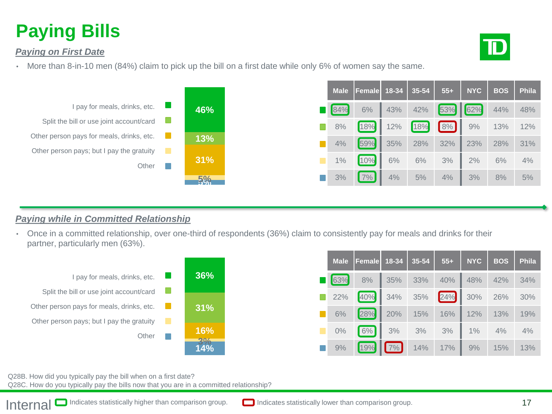### **Paying Bills**



#### *Paying on First Date*

• More than 8-in-10 men (84%) claim to pick up the bill on a first date while only 6% of women say the same.



#### *Paying while in Committed Relationship*

• Once in a committed relationship, over one-third of respondents (36%) claim to consistently pay for meals and drinks for their partner, particularly men (63%).



|            | Male Female 18-34 35-54 55+ NYC   BOS |             |                             |                 | Phila |
|------------|---------------------------------------|-------------|-----------------------------|-----------------|-------|
|            | 63% 8% 35% 33% 40% 48% 42% 34%        |             |                             |                 |       |
| $\Box$ 22% |                                       | 40% 34% 35% |                             | 24% 30% 26% 30% |       |
| $6\%$      |                                       |             | 28% 20% 15% 16% 12% 13% 19% |                 |       |
| $\Box$ 0%  |                                       |             | 6% 3% 3% 3% 1% 4%           |                 | 4%    |
| 9%         |                                       |             | 19% 7% 14% 17% 9% 15% 13%   |                 |       |

Q28B. How did you typically pay the bill when on a first date?

Q28C. How do you typically pay the bills now that you are in a committed relationship?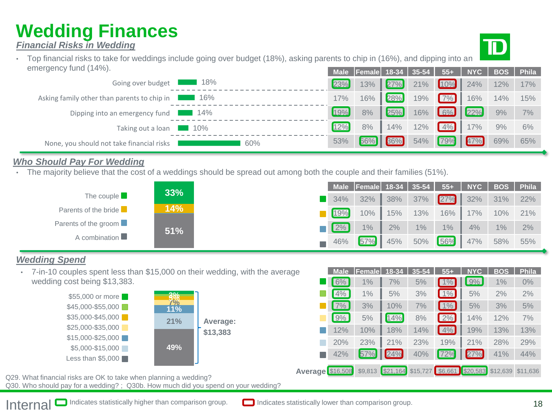### **Wedding Finances** *Financial Risks in Wedding*



• Top financial risks to take for weddings include going over budget (18%), asking parents to chip in (16%), and dipping into an emergency fund (14%). **Male Female 18-34 35-54 55+ NYC BOS Phila**



#### *Who Should Pay For Wedding*

• The majority believe that the cost of a weddings should be spread out among both the couple and their families (51%).

#### *Wedding Spend*

Q29. What financial risks are OK to take when planning a wedding? \$16,508 \$9,813 \$21,164 \$15,727 \$6,661 \$20,583 \$12,639 \$11,636 • 7-in-10 couples spent less than \$15,000 on their wedding, with the average wedding cost being \$13,383. **Male Female 18-34 35-54 55+ NYC BOS Phila** 6% 1% 7% 5% 1% 9% 1% 0% 4% 1% 5% 3% 1% 5% 2% 2% 7% 3% 10% 7% 1% 5% 3% 5% 9% 5% 14% 8% 2% 14% 12% 7% 12% 10% 18% 14% 4% 19% 13% 13% 20% 23% 21% 23% 19% 21% 28% 29% 42% 57% 24% 40% 72% 27% 41% 44% \$55,000 or more \$45,000-\$55,000 \$35,000-\$45,000 \$25,000-\$35,000 \$15,000-\$25,000 \$5,000-\$15,000 Less than \$5,000 **Average 49% 21% 11% 7%5%3% \$13,383 Average:**

Q30. Who should pay for a wedding? ; Q30b. How much did you spend on your wedding?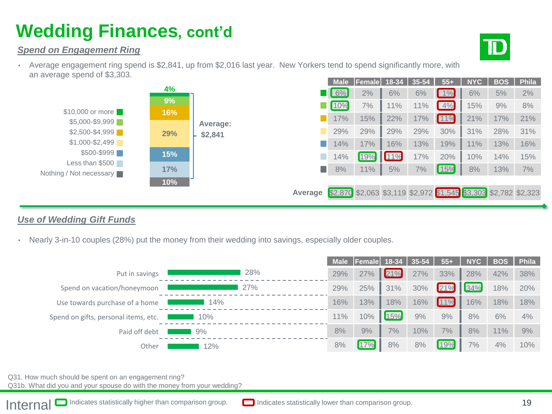# **Wedding Finances, cont'd**

#### *Spend on Engagement Ring*



• Average engagement ring spend is \$2,841, up from \$2,016 last year. New Yorkers tend to spend significantly more, with an average spend of \$3,303.



#### *Use of Wedding Gift Funds*

• Nearly 3-in-10 couples (28%) put the money from their wedding into savings, especially older couples.

|                                      |     |     | Male Female 18-34 35-54 |     |     | $55+$ | <b>NYC</b> | <b>BOS</b> | Phila |
|--------------------------------------|-----|-----|-------------------------|-----|-----|-------|------------|------------|-------|
| Put in savings                       | 28% | 29% | 27%                     | 21% | 27% | 33%   | 28%        | 42%        | 38%   |
| Spend on vacation/honeymoon          | 27% | 29% | 25%                     | 31% | 30% | 21%   | 34%        | 18%        | 20%   |
| Use towards purchase of a home       | 14% | 16% | 13%                     | 18% | 16% | 11%   | 16%        | 18%        | 18%   |
| Spend on gifts, personal items, etc. | 10% | 11% | 10%                     | 15% | 9%  | 9%    | 8%         | 6%         | 4%    |
| Paid off debt                        | 9%  | 8%  | 9%                      | 7%  | 10% | 7%    | 8%         | 11%        | 9%    |
| Other                                | 12% | 8%  | 17%                     | 8%  | 8%  | 19%   | 7%         | 4%         | 10%   |

Q31. How much should be spent on an engagement ring? Q31b. What did you and your spouse do with the money from your wedding?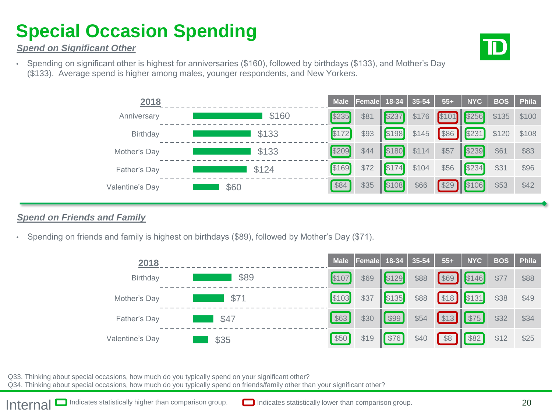# **Special Occasion Spending**



#### *Spend on Significant Other*

• Spending on significant other is highest for anniversaries (\$160), followed by birthdays (\$133), and Mother's Day (\$133). Average spend is higher among males, younger respondents, and New Yorkers.



#### *Spend on Friends and Family*

• Spending on friends and family is highest on birthdays (\$89), followed by Mother's Day (\$71).



Q33. Thinking about special occasions, how much do you typically spend on your significant other?

Q34. Thinking about special occasions, how much do you typically spend on friends/family other than your significant other?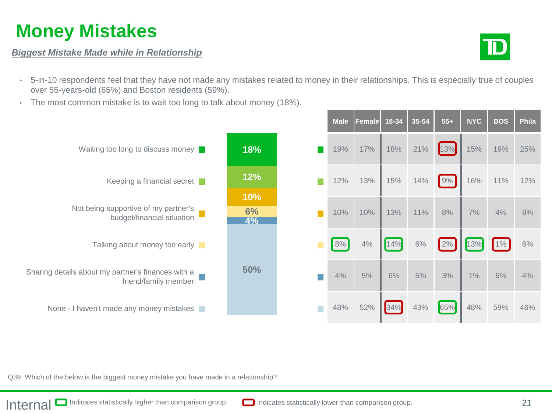### **Money Mistakes**

#### *Biggest Mistake Made while in Relationship*



- 5-in-10 respondents feel that they have not made any mistakes related to money in their relationships. This is especially true of couples over 55-years-old (65%) and Boston residents (59%).
- The most common mistake is to wait too long to talk about money (18%).



Q39. Which of the below is the biggest money mistake you have made in a relationship?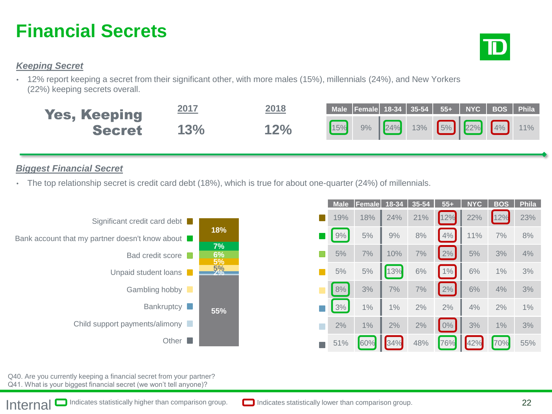### **Financial Secrets**



#### *Keeping Secret*

• 12% report keeping a secret from their significant other, with more males (15%), millennials (24%), and New Yorkers (22%) keeping secrets overall.



#### *Biggest Financial Secret*

• The top relationship secret is credit card debt (18%), which is true for about one-quarter (24%) of millennials.



| <b>Male</b> | <b>Female</b> | 18-34 | 35-54 | $55+$                            | <b>NYC</b> | <b>BOS</b> | <b>Phila</b> |
|-------------|---------------|-------|-------|----------------------------------|------------|------------|--------------|
| 19%         | 18%           | 24%   | 21%   | 12%                              | 22%        | 12%        | 23%          |
| 9%          | $5\%$         | 9%    | $8%$  | 4%                               | 11%        | 7%         | 8%           |
| 5%          | 7%            | 10%   | 7%    | $\left\lfloor 2\% \right\rfloor$ | 5%         | 3%         | 4%           |
| 5%          | 5%            | 13%   | 6%    | 1%                               | 6%         | 1%         | 3%           |
| $8\%$       | 3%            | 7%    | 7%    | $ 2\% $                          | 6%         | 4%         | 3%           |
| 3%          | $1\%$         | 1%    | 2%    | 2%                               | 4%         | 2%         | 1%           |
| 2%          | 1%            | 2%    | 2%    | 0%                               | 3%         | 1%         | 3%           |
| 51%         | 60%           | 34%   | 48%   | 76%                              | 42%        | 70%        | 55%          |

Q40. Are you currently keeping a financial secret from your partner? Q41. What is your biggest financial secret (we won't tell anyone)?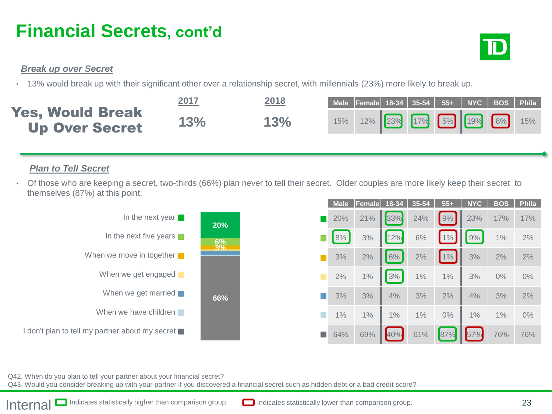### **Financial Secrets, cont'd**



#### *Break up over Secret*

• 13% would break up with their significant other over a relationship secret, with millennials (23%) more likely to break up.



#### *Plan to Tell Secret*

• Of those who are keeping a secret, two-thirds (66%) plan never to tell their secret. Older couples are more likely keep their secret to themselves (87%) at this point.



Q42. When do you plan to tell your partner about your financial secret?

Q43. Would you consider breaking up with your partner if you discovered a financial secret such as hidden debt or a bad credit score?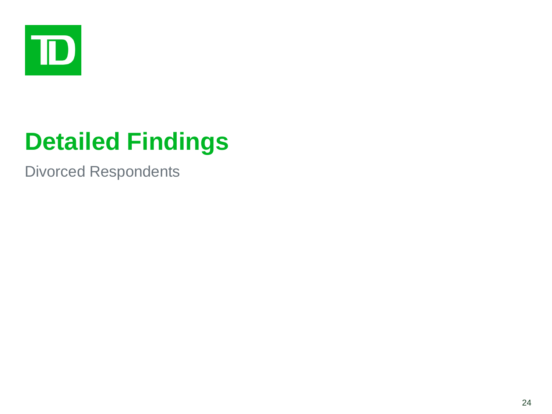

# **Detailed Findings**

Divorced Respondents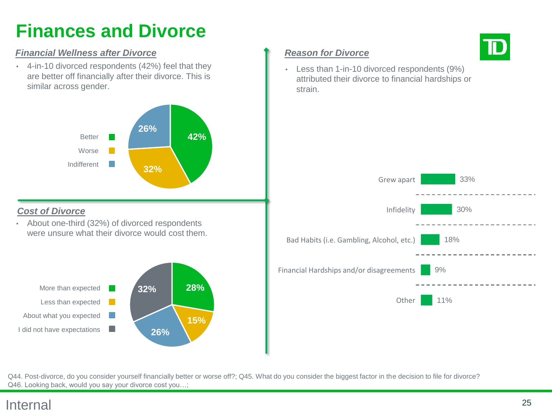### **Finances and Divorce**

#### *Financial Wellness after Divorce*

• 4-in-10 divorced respondents (42%) feel that they are better off financially after their divorce. This is similar across gender.



#### *Cost of Divorce*

• About one-third (32%) of divorced respondents were unsure what their divorce would cost them.



#### *Reason for Divorce*

• Less than 1-in-10 divorced respondents (9%) attributed their divorce to financial hardships or strain.



Q44. Post-divorce, do you consider yourself financially better or worse off?; Q45. What do you consider the biggest factor in the decision to file for divorce? Q46. Looking back, would you say your divorce cost you…;

### Internal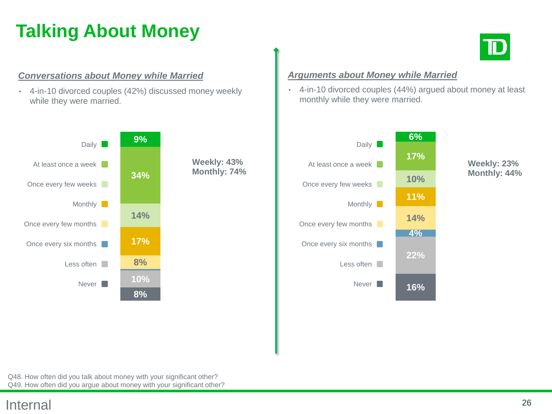# **Talking About Money**

#### *Conversations about Money while Married*

• 4-in-10 divorced couples (42%) discussed money weekly while they were married.



#### *Arguments about Money while Married*

• 4-in-10 divorced couples (44%) argued about money at least monthly while they were married.



**Weekly: 23% Monthly: 44%**

Q48. How often did you talk about money with your significant other? Q49. How often did you argue about money with your significant other?

### Internal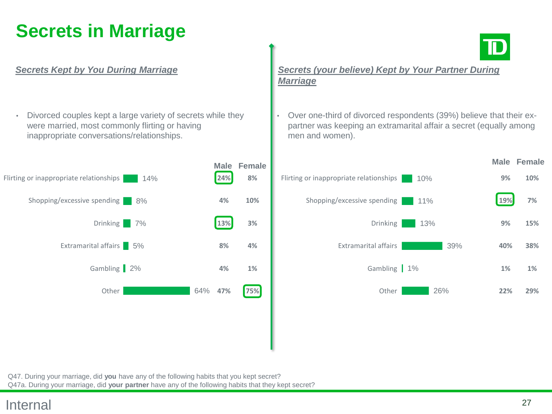### **Secrets in Marriage**

#### *Secrets Kept by You During Marriage*

• Divorced couples kept a large variety of secrets while they were married, most commonly flirting or having inappropriate conversations/relationships.





#### *Secrets (your believe) Kept by Your Partner During Marriage*

• Over one-third of divorced respondents (39%) believe that their expartner was keeping an extramarital affair a secret (equally among men and women).



Q47. During your marriage, did **you** have any of the following habits that you kept secret? Q47a. During your marriage, did **your partner** have any of the following habits that they kept secret?

### Internal